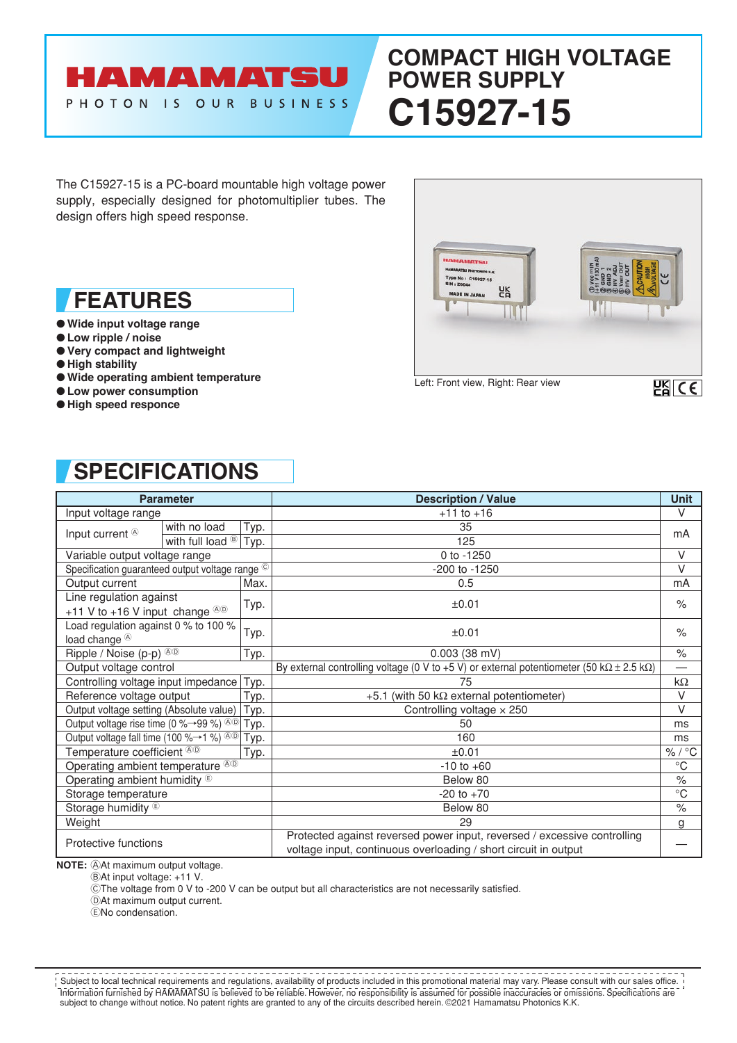# AMAMATSU PHOTON IS OUR BUSINESS

# **COMPACT HIGH VOLTAGE POWER SUPPLY C15927-15**

The C15927-15 is a PC-board mountable high voltage power supply, especially designed for photomultiplier tubes. The design offers high speed response.

## **FEATURES**

- **Wide input voltage range**
- **Low ripple / noise**
- **Very compact and lightweight**
- **High stability**
- **Wide operating ambient temperature**
- **Low power consumption**
- **High speed responce**



# **SPECIFICATIONS**

| <b>Parameter</b>                                                      |                                  |      | <b>Description / Value</b>                                                                                                                  | <b>Unit</b>  |
|-----------------------------------------------------------------------|----------------------------------|------|---------------------------------------------------------------------------------------------------------------------------------------------|--------------|
| Input voltage range                                                   |                                  |      | $+11$ to $+16$                                                                                                                              | V            |
| Input current <sup>®</sup>                                            | with no load                     | Typ. | 35                                                                                                                                          | mA           |
|                                                                       | with full load $\mathbb{B}$ Typ. |      | 125                                                                                                                                         |              |
| Variable output voltage range                                         |                                  |      | 0 to -1250                                                                                                                                  | $\vee$       |
| Specification guaranteed output voltage range ©                       |                                  |      | -200 to -1250                                                                                                                               | $\vee$       |
| Output current                                                        |                                  | Max. | 0.5                                                                                                                                         | mA           |
| Line regulation against<br>+11 V to +16 V input change $\circledcirc$ |                                  | Typ. | ±0.01                                                                                                                                       | $\%$         |
| Load regulation against 0 % to 100 %<br>load change <sup>®</sup>      |                                  | Typ. | ±0.01                                                                                                                                       | $\%$         |
| Ripple / Noise (p-p) <sup>@®</sup>                                    |                                  | Typ. | $0.003$ (38 mV)                                                                                                                             | $\%$         |
| Output voltage control                                                |                                  |      | By external controlling voltage (0 V to +5 V) or external potentiometer (50 k $\Omega \pm 2.5$ k $\Omega$ )                                 |              |
| Controlling voltage input impedance                                   |                                  | Typ. | 75                                                                                                                                          | $k\Omega$    |
| Reference voltage output                                              |                                  | Typ. | +5.1 (with 50 k $\Omega$ external potentiometer)                                                                                            | V            |
| Output voltage setting (Absolute value)                               |                                  | Typ. | Controlling voltage $\times$ 250                                                                                                            | $\vee$       |
| Output voltage rise time (0 % $\rightarrow$ 99 %) $\infty$            |                                  | Typ. | 50                                                                                                                                          | ms           |
| Output voltage fall time (100 %→1 %) <sup>®®</sup>                    |                                  | Typ. | 160                                                                                                                                         | ms           |
| Temperature coefficient ®®                                            |                                  | Typ. | ±0.01                                                                                                                                       | %/°C         |
| Operating ambient temperature <sup>®®</sup>                           |                                  |      | $-10$ to $+60$                                                                                                                              | $^{\circ}C$  |
| Operating ambient humidity <sup>®</sup>                               |                                  |      | Below 80                                                                                                                                    | $\%$         |
| Storage temperature                                                   |                                  |      | $-20$ to $+70$                                                                                                                              | $^{\circ}$ C |
| Storage humidity <sup>®</sup>                                         |                                  |      | Below 80                                                                                                                                    | $\%$         |
| Weight                                                                |                                  |      | 29                                                                                                                                          | g            |
| Protective functions                                                  |                                  |      | Protected against reversed power input, reversed / excessive controlling<br>voltage input, continuous overloading / short circuit in output |              |

**NOTE:** At maximum output voltage.

BAt input voltage: +11 V.

CThe voltage from 0 V to -200 V can be output but all characteristics are not necessarily satisfied.

DAt maximum output current.

ENo condensation.

Information furnished by HAMAMATSU is believed to be reliable. However, no responsibility is assumed for possible inaccuracies or omissions. Specifications are subject to change without notice. No patent rights are granted to any of the circuits described herein. ©2021 Hamamatsu Photonics K.K. Subject to local technical requirements and regulations, availability of products included in this promotional material may vary. Please consult with our sales office.